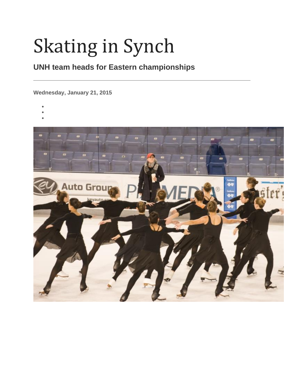# Skating in Synch

## **UNH team heads for Eastern championships**

**Wednesday, January 21, 2015**

- •
- •
- •

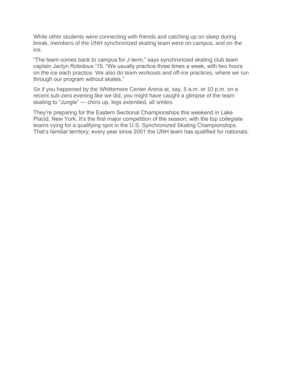While other students were connecting with friends and catching up on sleep during break, members of the UNH synchronized skating team were on campus, and on the ice.

"The team comes back to campus for J-term," says synchronized skating club team captain Jaclyn Robidoux '15. "We usually practice three times a week, with two hours on the ice each practice. We also do team workouts and off-ice practices, where we run through our program without skates."

So if you happened by the Whittemore Center Arena at, say, 5 a.m. or 10 p.m. on a recent sub-zero evening like we did, you might have caught a glimpse of the team skating to "Jungle" — chins up, legs extended, all smiles.

They're preparing for the Eastern Sectional Championships this weekend in Lake Placid, New York. It's the first major competition of the season, with the top collegiate teams vying for a qualifying spot in the U.S. Synchronized Skating Championships. That's familiar territory; every year since 2001 the UNH team has qualified for nationals.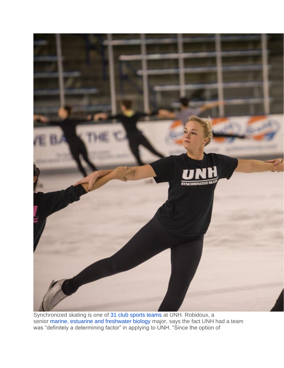

Synchronized skating is one of [31 club sports teams](http://campusrec.unh.edu/sport-clubs) at UNH. Robidoux, a senior [marine, estuarine and freshwater biology](http://marine.unh.edu/bs-marine-estuarine-and-freshwater-biology-mefb) major, says the fact UNH had a team was "definitely a determining factor" in applying to UNH. "Since the option of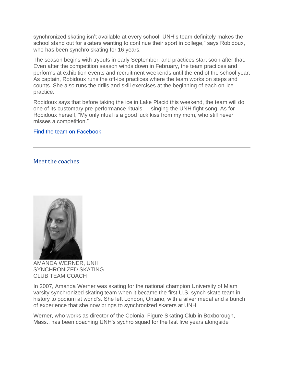synchronized skating isn't available at every school, UNH's team definitely makes the school stand out for skaters wanting to continue their sport in college," says Robidoux, who has been synchro skating for 16 years.

The season begins with tryouts in early September, and practices start soon after that. Even after the competition season winds down in February, the team practices and performs at exhibition events and recruitment weekends until the end of the school year. As captain, Robidoux runs the off-ice practices where the team works on steps and counts. She also runs the drills and skill exercises at the beginning of each on-ice practice.

Robidoux says that before taking the ice in Lake Placid this weekend, the team will do one of its customary pre-performance rituals — singing the UNH fight song. As for Robidoux herself, "My only ritual is a good luck kiss from my mom, who still never misses a competition."

#### [Find the team on Facebook](https://www.facebook.com/pages/UNH-Synchronized-Skating/181959323313)

#### Meet the coaches



AMANDA WERNER, UNH SYNCHRONIZED SKATING CLUB TEAM COACH

In 2007, Amanda Werner was skating for the national champion University of Miami varsity synchronized skating team when it became the first U.S. synch skate team in history to podium at world's. She left London, Ontario, with a silver medal and a bunch of experience that she now brings to synchronized skaters at UNH.

Werner, who works as director of the Colonial Figure Skating Club in Boxborough, Mass., has been coaching UNH's sychro squad for the last five years alongside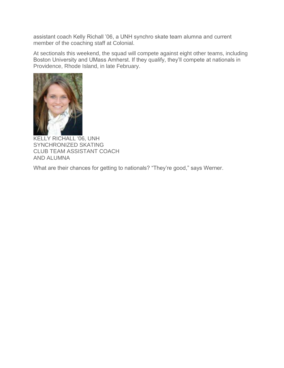assistant coach Kelly Richall '06, a UNH synchro skate team alumna and current member of the coaching staff at Colonial.

At sectionals this weekend, the squad will compete against eight other teams, including Boston University and UMass Amherst. If they qualify, they'll compete at nationals in Providence, Rhode Island, in late February.



KELLY RICHALL '06, UNH SYNCHRONIZED SKATING CLUB TEAM ASSISTANT COACH AND ALUMNA

What are their chances for getting to nationals? "They're good," says Werner.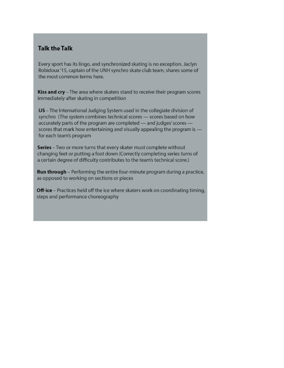#### **Talk the Talk**

Every sport has its lingo, and synchronized skating is no exception. Jaclyn Robidoux'15, captain of the UNH synchro skate club team, shares some of the most common terms here.

Kiss and cry - The area where skaters stand to receive their program scores immediately after skating in competition

IJS - The International Judging System used in the collegiate division of synchro (The system combines technical scores - scores based on how accurately parts of the program are completed - and judges' scores scores that mark how entertaining and visually appealing the program is for each team's program

Series - Two or more turns that every skater must complete without changing feet or putting a foot down (Correctly completing series turns of a certain degree of difficulty contributes to the team's technical score.)

Run through - Performing the entire four-minute program during a practice, as opposed to working on sections or pieces

Off-ice - Practices held off the ice where skaters work on coordinating timing, steps and performance choreography